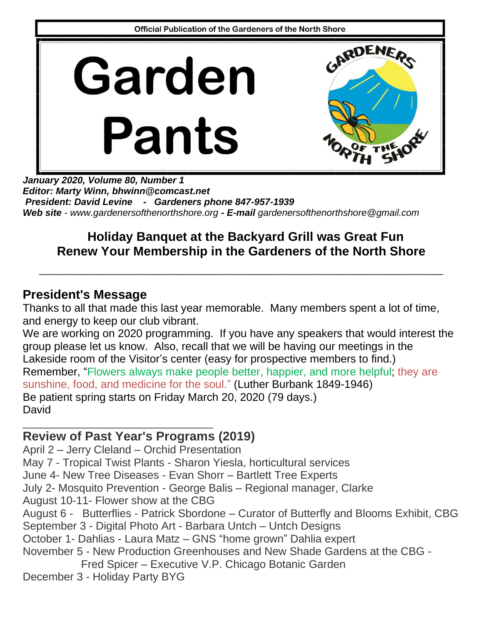

*January 2020, Volume 80, Number 1 Editor: Marty Winn, bhwinn@comcast.net President: David Levine - Gardeners phone 847-957-1939 Web site - www.gardenersofthenorthshore.org - E-mail gardenersofthenorthshore@gmail.com*

# **Holiday Banquet at the Backyard Grill was Great Fun Renew Your Membership in the Gardeners of the North Shore**

**\_\_\_\_\_\_\_\_\_\_\_\_\_\_\_\_\_\_\_\_\_\_\_\_\_\_\_\_\_\_\_\_\_\_\_\_\_\_\_\_\_\_\_\_\_\_**

### **President's Message**

Thanks to all that made this last year memorable. Many members spent a lot of time, and energy to keep our club vibrant.

We are working on 2020 programming. If you have any speakers that would interest the group please let us know. Also, recall that we will be having our meetings in the Lakeside room of the Visitor's center (easy for prospective members to find.) Remember, "Flowers always make people better, happier, and more helpful; they are sunshine, food, and medicine for the soul." (Luther Burbank 1849-1946) Be patient spring starts on Friday March 20, 2020 (79 days.) **David** 

#### \_\_\_\_\_\_\_\_\_\_\_\_\_\_\_\_\_\_\_\_\_\_\_\_\_\_\_\_\_\_\_ **Review of Past Year's Programs (2019)**

April 2 – Jerry Cleland – Orchid Presentation May 7 - Tropical Twist Plants - Sharon Yiesla, horticultural services June 4- New Tree Diseases - Evan Shorr – Bartlett Tree Experts July 2- Mosquito Prevention - George Balis – Regional manager, Clarke August 10-11- Flower show at the CBG August 6 - Butterflies - Patrick Sbordone – Curator of Butterfly and Blooms Exhibit, CBG September 3 - Digital Photo Art - Barbara Untch – Untch Designs October 1- Dahlias - Laura Matz – GNS "home grown" Dahlia expert November 5 - New Production Greenhouses and New Shade Gardens at the CBG - Fred Spicer – Executive V.P. Chicago Botanic Garden December 3 - Holiday Party BYG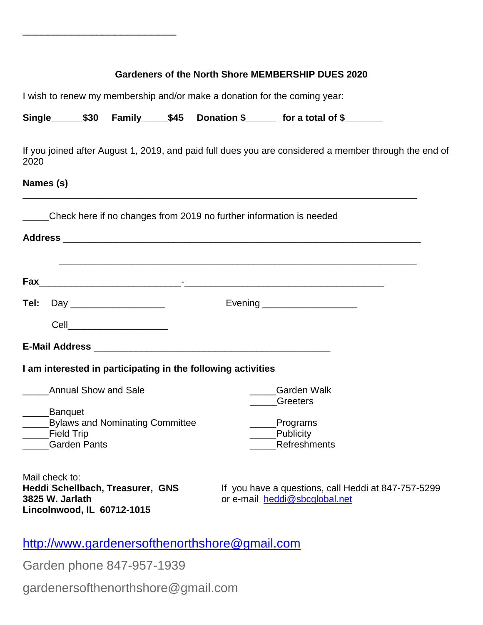| Gardeners of the North Shore MEMBERSHIP DUES 2020<br>I wish to renew my membership and/or make a donation for the coming year: |                     |                                                                                                       |  |  |                                                                                      |  |          |              |  |  |  |  |  |  |
|--------------------------------------------------------------------------------------------------------------------------------|---------------------|-------------------------------------------------------------------------------------------------------|--|--|--------------------------------------------------------------------------------------|--|----------|--------------|--|--|--|--|--|--|
|                                                                                                                                |                     |                                                                                                       |  |  |                                                                                      |  |          |              |  |  |  |  |  |  |
| 2020                                                                                                                           |                     | If you joined after August 1, 2019, and paid full dues you are considered a member through the end of |  |  |                                                                                      |  |          |              |  |  |  |  |  |  |
| Names (s)                                                                                                                      |                     |                                                                                                       |  |  |                                                                                      |  |          |              |  |  |  |  |  |  |
|                                                                                                                                |                     | Check here if no changes from 2019 no further information is needed                                   |  |  |                                                                                      |  |          |              |  |  |  |  |  |  |
|                                                                                                                                |                     |                                                                                                       |  |  |                                                                                      |  |          |              |  |  |  |  |  |  |
|                                                                                                                                |                     |                                                                                                       |  |  |                                                                                      |  |          |              |  |  |  |  |  |  |
|                                                                                                                                |                     |                                                                                                       |  |  |                                                                                      |  |          |              |  |  |  |  |  |  |
|                                                                                                                                |                     |                                                                                                       |  |  |                                                                                      |  |          |              |  |  |  |  |  |  |
|                                                                                                                                |                     | Cell_________________________                                                                         |  |  |                                                                                      |  |          |              |  |  |  |  |  |  |
|                                                                                                                                |                     |                                                                                                       |  |  |                                                                                      |  |          |              |  |  |  |  |  |  |
|                                                                                                                                |                     | I am interested in participating in the following activities                                          |  |  |                                                                                      |  |          |              |  |  |  |  |  |  |
| <b>Annual Show and Sale</b>                                                                                                    |                     |                                                                                                       |  |  | <b>Garden Walk</b>                                                                   |  |          |              |  |  |  |  |  |  |
| Banquet                                                                                                                        |                     |                                                                                                       |  |  |                                                                                      |  | Greeters |              |  |  |  |  |  |  |
| <b>Bylaws and Nominating Committee</b><br><b>Field Trip</b>                                                                    |                     |                                                                                                       |  |  | Programs<br>Publicity                                                                |  |          |              |  |  |  |  |  |  |
|                                                                                                                                | <b>Garden Pants</b> |                                                                                                       |  |  |                                                                                      |  |          | Refreshments |  |  |  |  |  |  |
| Mail check to:                                                                                                                 |                     |                                                                                                       |  |  |                                                                                      |  |          |              |  |  |  |  |  |  |
| Heddi Schellbach, Treasurer, GNS<br>3825 W. Jarlath                                                                            |                     |                                                                                                       |  |  | If you have a questions, call Heddi at 847-757-5299<br>or e-mail heddi@sbcglobal.net |  |          |              |  |  |  |  |  |  |

<http://www.gardenersofthenorthshore@gmail.com>

Garden phone 847-957-1939

**Lincolnwood, IL 60712-1015**

\_\_\_\_\_\_\_\_\_\_\_\_\_\_\_\_\_\_\_\_\_\_\_\_\_

gardenersofthenorthshore@gmail.com